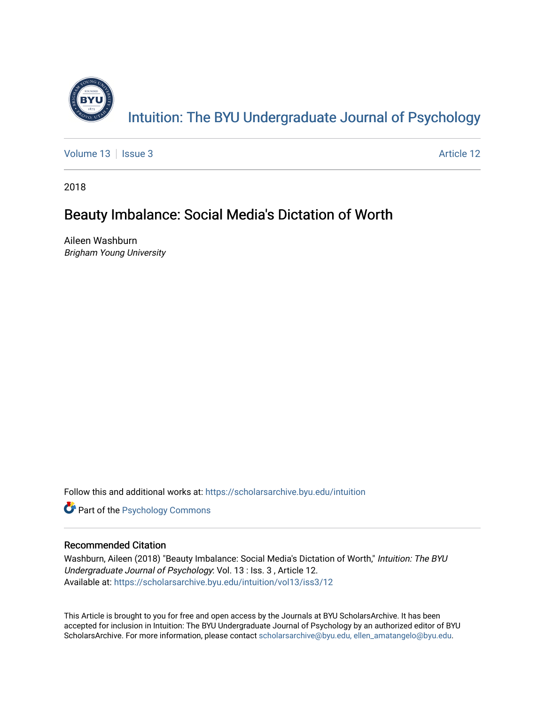

[Volume 13](https://scholarsarchive.byu.edu/intuition/vol13) | [Issue 3](https://scholarsarchive.byu.edu/intuition/vol13/iss3) Article 12

2018

# Beauty Imbalance: Social Media's Dictation of Worth

Aileen Washburn Brigham Young University

Follow this and additional works at: [https://scholarsarchive.byu.edu/intuition](https://scholarsarchive.byu.edu/intuition?utm_source=scholarsarchive.byu.edu%2Fintuition%2Fvol13%2Fiss3%2F12&utm_medium=PDF&utm_campaign=PDFCoverPages) 

**Part of the Psychology Commons** 

# Recommended Citation

Washburn, Aileen (2018) "Beauty Imbalance: Social Media's Dictation of Worth," Intuition: The BYU Undergraduate Journal of Psychology: Vol. 13 : Iss. 3 , Article 12. Available at: [https://scholarsarchive.byu.edu/intuition/vol13/iss3/12](https://scholarsarchive.byu.edu/intuition/vol13/iss3/12?utm_source=scholarsarchive.byu.edu%2Fintuition%2Fvol13%2Fiss3%2F12&utm_medium=PDF&utm_campaign=PDFCoverPages)

This Article is brought to you for free and open access by the Journals at BYU ScholarsArchive. It has been accepted for inclusion in Intuition: The BYU Undergraduate Journal of Psychology by an authorized editor of BYU ScholarsArchive. For more information, please contact [scholarsarchive@byu.edu, ellen\\_amatangelo@byu.edu.](mailto:scholarsarchive@byu.edu,%20ellen_amatangelo@byu.edu)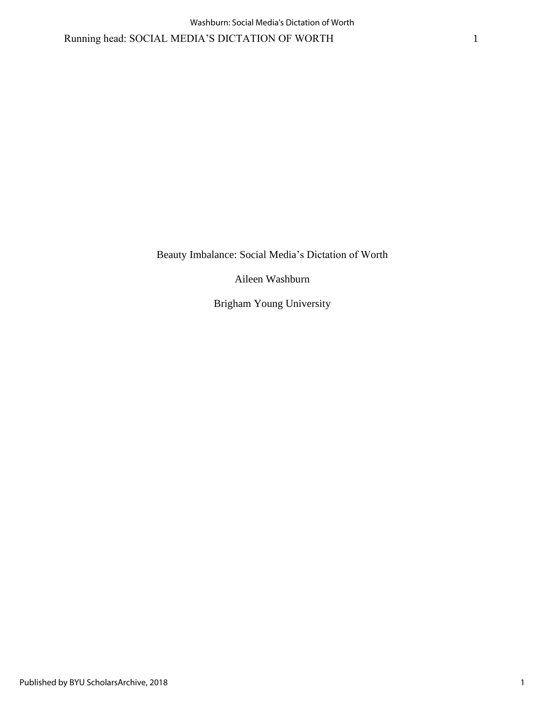Running head: SOCIAL MEDIA'S DICTATION OF WORTH 1

Beauty Imbalance: Social Media's Dictation of Worth

Aileen Washburn

Brigham Young University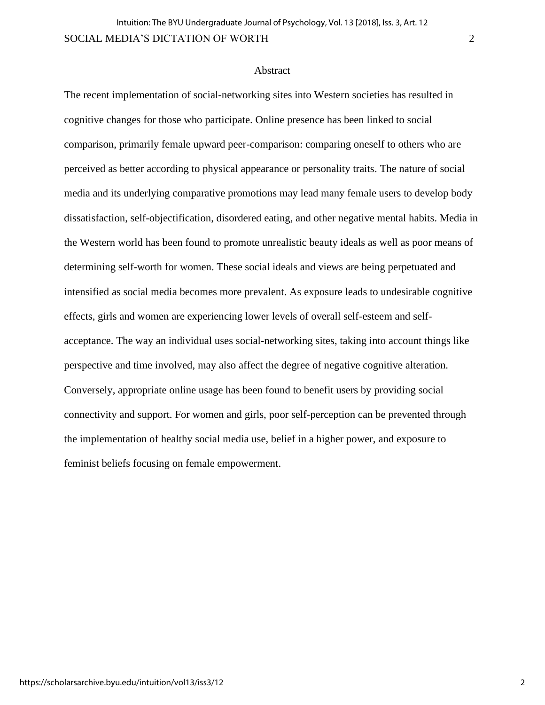## **Abstract**

The recent implementation of social-networking sites into Western societies has resulted in cognitive changes for those who participate. Online presence has been linked to social comparison, primarily female upward peer-comparison: comparing oneself to others who are perceived as better according to physical appearance or personality traits. The nature of social media and its underlying comparative promotions may lead many female users to develop body dissatisfaction, self-objectification, disordered eating, and other negative mental habits. Media in the Western world has been found to promote unrealistic beauty ideals as well as poor means of determining self-worth for women. These social ideals and views are being perpetuated and intensified as social media becomes more prevalent. As exposure leads to undesirable cognitive effects, girls and women are experiencing lower levels of overall self-esteem and selfacceptance. The way an individual uses social-networking sites, taking into account things like perspective and time involved, may also affect the degree of negative cognitive alteration. Conversely, appropriate online usage has been found to benefit users by providing social connectivity and support. For women and girls, poor self-perception can be prevented through the implementation of healthy social media use, belief in a higher power, and exposure to feminist beliefs focusing on female empowerment.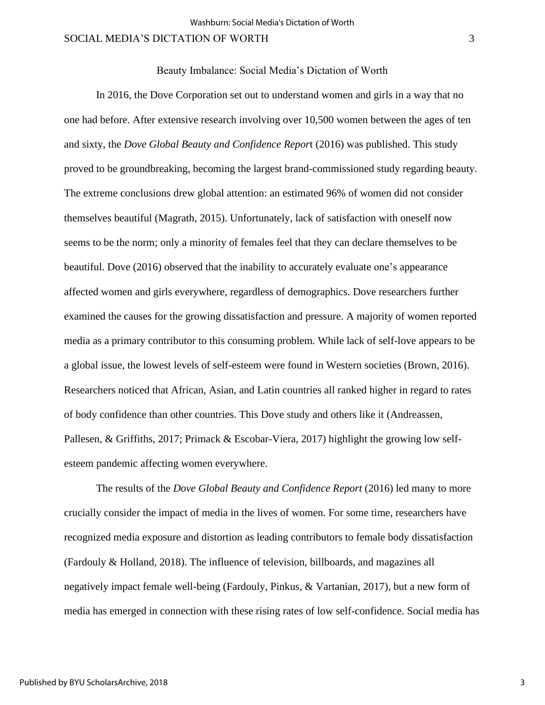Beauty Imbalance: Social Media's Dictation of Worth

In 2016, the Dove Corporation set out to understand women and girls in a way that no one had before. After extensive research involving over 10,500 women between the ages of ten and sixty, the *Dove Global Beauty and Confidence Repor*t (2016) was published. This study proved to be groundbreaking, becoming the largest brand-commissioned study regarding beauty. The extreme conclusions drew global attention: an estimated 96% of women did not consider themselves beautiful (Magrath, 2015). Unfortunately, lack of satisfaction with oneself now seems to be the norm; only a minority of females feel that they can declare themselves to be beautiful. Dove (2016) observed that the inability to accurately evaluate one's appearance affected women and girls everywhere, regardless of demographics. Dove researchers further examined the causes for the growing dissatisfaction and pressure. A majority of women reported media as a primary contributor to this consuming problem. While lack of self-love appears to be a global issue, the lowest levels of self-esteem were found in Western societies (Brown, 2016). Researchers noticed that African, Asian, and Latin countries all ranked higher in regard to rates of body confidence than other countries. This Dove study and others like it (Andreassen, Pallesen, & Griffiths, 2017; Primack & Escobar-Viera, 2017) highlight the growing low selfesteem pandemic affecting women everywhere.

The results of the *Dove Global Beauty and Confidence Report* (2016) led many to more crucially consider the impact of media in the lives of women. For some time, researchers have recognized media exposure and distortion as leading contributors to female body dissatisfaction (Fardouly & Holland, 2018). The influence of television, billboards, and magazines all negatively impact female well-being (Fardouly, Pinkus, & Vartanian, 2017), but a new form of media has emerged in connection with these rising rates of low self-confidence. Social media has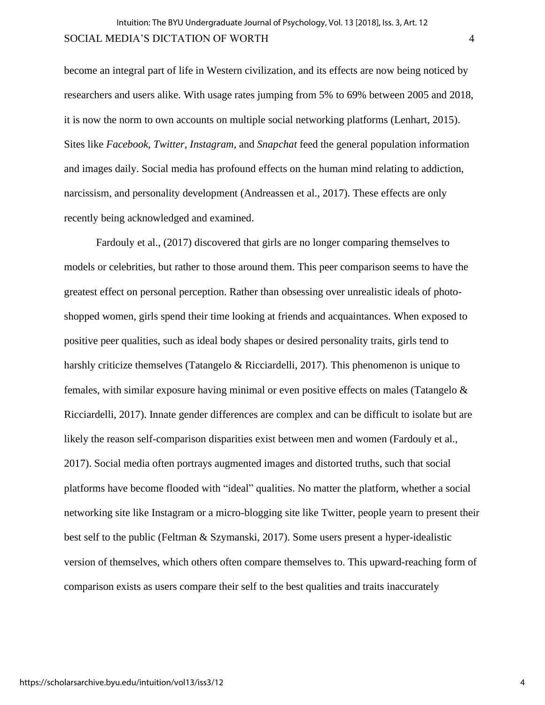become an integral part of life in Western civilization, and its effects are now being noticed by researchers and users alike. With usage rates jumping from 5% to 69% between 2005 and 2018, it is now the norm to own accounts on multiple social networking platforms (Lenhart, 2015). Sites like *Facebook*, *Twitter*, *Instagram*, and *Snapchat* feed the general population information and images daily. Social media has profound effects on the human mind relating to addiction, narcissism, and personality development (Andreassen et al., 2017). These effects are only recently being acknowledged and examined.

Fardouly et al., (2017) discovered that girls are no longer comparing themselves to models or celebrities, but rather to those around them. This peer comparison seems to have the greatest effect on personal perception. Rather than obsessing over unrealistic ideals of photoshopped women, girls spend their time looking at friends and acquaintances. When exposed to positive peer qualities, such as ideal body shapes or desired personality traits, girls tend to harshly criticize themselves (Tatangelo & Ricciardelli, 2017). This phenomenon is unique to females, with similar exposure having minimal or even positive effects on males (Tatangelo & Ricciardelli, 2017). Innate gender differences are complex and can be difficult to isolate but are likely the reason self-comparison disparities exist between men and women (Fardouly et al., 2017). Social media often portrays augmented images and distorted truths, such that social platforms have become flooded with "ideal" qualities. No matter the platform, whether a social networking site like Instagram or a micro-blogging site like Twitter, people yearn to present their best self to the public (Feltman & Szymanski, 2017). Some users present a hyper-idealistic version of themselves, which others often compare themselves to. This upward-reaching form of comparison exists as users compare their self to the best qualities and traits inaccurately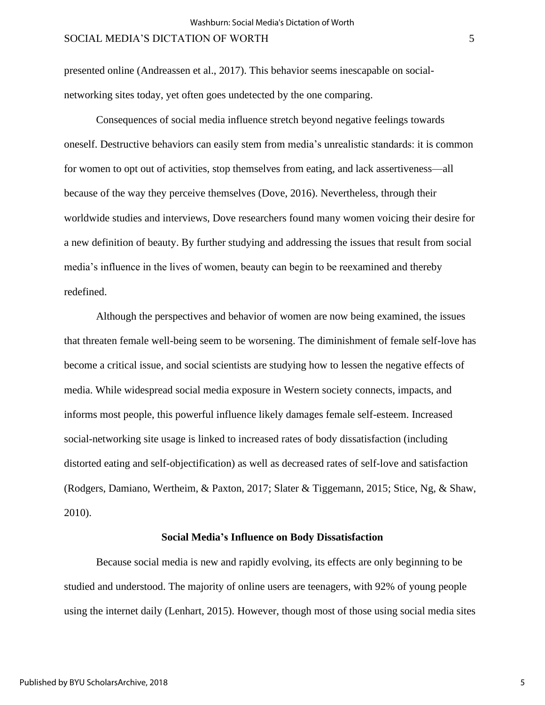presented online (Andreassen et al., 2017). This behavior seems inescapable on socialnetworking sites today, yet often goes undetected by the one comparing.

Consequences of social media influence stretch beyond negative feelings towards oneself. Destructive behaviors can easily stem from media's unrealistic standards: it is common for women to opt out of activities, stop themselves from eating, and lack assertiveness—all because of the way they perceive themselves (Dove, 2016). Nevertheless, through their worldwide studies and interviews, Dove researchers found many women voicing their desire for a new definition of beauty. By further studying and addressing the issues that result from social media's influence in the lives of women, beauty can begin to be reexamined and thereby redefined.

Although the perspectives and behavior of women are now being examined, the issues that threaten female well-being seem to be worsening. The diminishment of female self-love has become a critical issue, and social scientists are studying how to lessen the negative effects of media. While widespread social media exposure in Western society connects, impacts, and informs most people, this powerful influence likely damages female self-esteem. Increased social-networking site usage is linked to increased rates of body dissatisfaction (including distorted eating and self-objectification) as well as decreased rates of self-love and satisfaction (Rodgers, Damiano, Wertheim, & Paxton, 2017; Slater & Tiggemann, 2015; Stice, Ng, & Shaw, 2010).

#### **Social Media's Influence on Body Dissatisfaction**

Because social media is new and rapidly evolving, its effects are only beginning to be studied and understood. The majority of online users are teenagers, with 92% of young people using the internet daily (Lenhart, 2015). However, though most of those using social media sites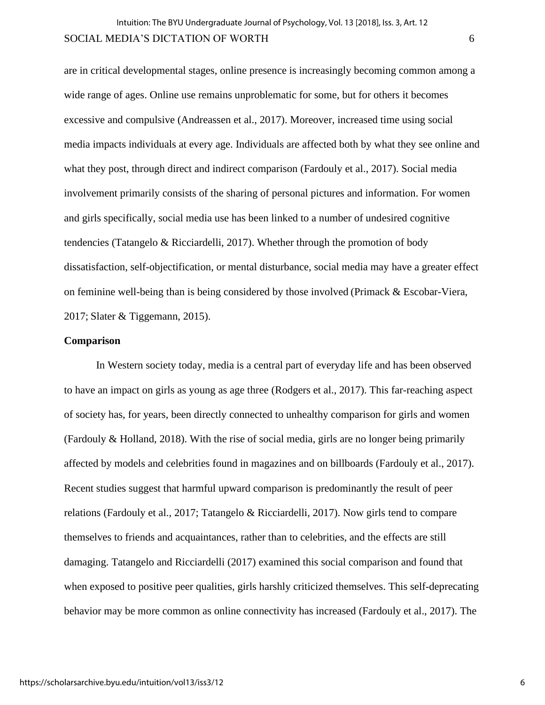are in critical developmental stages, online presence is increasingly becoming common among a wide range of ages. Online use remains unproblematic for some, but for others it becomes excessive and compulsive (Andreassen et al., 2017). Moreover, increased time using social media impacts individuals at every age. Individuals are affected both by what they see online and what they post, through direct and indirect comparison (Fardouly et al., 2017). Social media involvement primarily consists of the sharing of personal pictures and information. For women and girls specifically, social media use has been linked to a number of undesired cognitive tendencies (Tatangelo & Ricciardelli, 2017). Whether through the promotion of body dissatisfaction, self-objectification, or mental disturbance, social media may have a greater effect on feminine well-being than is being considered by those involved (Primack & Escobar-Viera, 2017; Slater & Tiggemann, 2015).

#### **Comparison**

In Western society today, media is a central part of everyday life and has been observed to have an impact on girls as young as age three (Rodgers et al., 2017). This far-reaching aspect of society has, for years, been directly connected to unhealthy comparison for girls and women (Fardouly & Holland, 2018). With the rise of social media, girls are no longer being primarily affected by models and celebrities found in magazines and on billboards (Fardouly et al., 2017). Recent studies suggest that harmful upward comparison is predominantly the result of peer relations (Fardouly et al., 2017; Tatangelo & Ricciardelli, 2017). Now girls tend to compare themselves to friends and acquaintances, rather than to celebrities, and the effects are still damaging. Tatangelo and Ricciardelli (2017) examined this social comparison and found that when exposed to positive peer qualities, girls harshly criticized themselves. This self-deprecating behavior may be more common as online connectivity has increased (Fardouly et al., 2017). The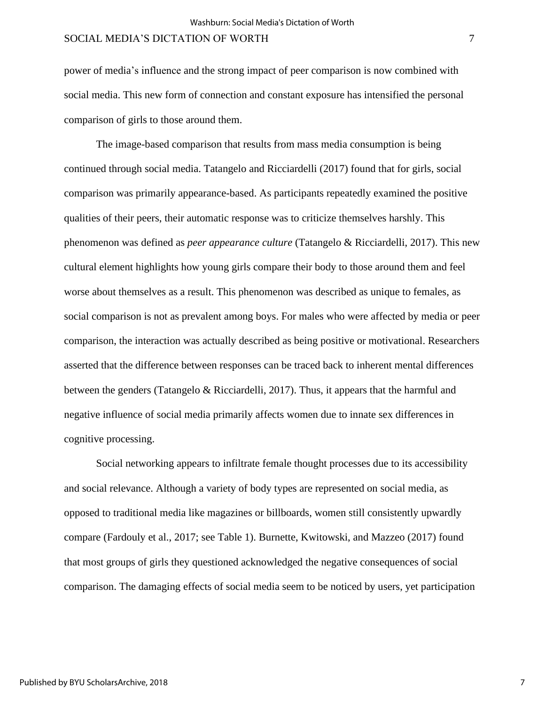power of media's influence and the strong impact of peer comparison is now combined with social media. This new form of connection and constant exposure has intensified the personal comparison of girls to those around them.

The image-based comparison that results from mass media consumption is being continued through social media. Tatangelo and Ricciardelli (2017) found that for girls, social comparison was primarily appearance-based. As participants repeatedly examined the positive qualities of their peers, their automatic response was to criticize themselves harshly. This phenomenon was defined as *peer appearance culture* (Tatangelo & Ricciardelli, 2017). This new cultural element highlights how young girls compare their body to those around them and feel worse about themselves as a result. This phenomenon was described as unique to females, as social comparison is not as prevalent among boys. For males who were affected by media or peer comparison, the interaction was actually described as being positive or motivational. Researchers asserted that the difference between responses can be traced back to inherent mental differences between the genders (Tatangelo & Ricciardelli, 2017). Thus, it appears that the harmful and negative influence of social media primarily affects women due to innate sex differences in cognitive processing.

Social networking appears to infiltrate female thought processes due to its accessibility and social relevance. Although a variety of body types are represented on social media, as opposed to traditional media like magazines or billboards, women still consistently upwardly compare (Fardouly et al., 2017; see Table 1). Burnette, Kwitowski, and Mazzeo (2017) found that most groups of girls they questioned acknowledged the negative consequences of social comparison. The damaging effects of social media seem to be noticed by users, yet participation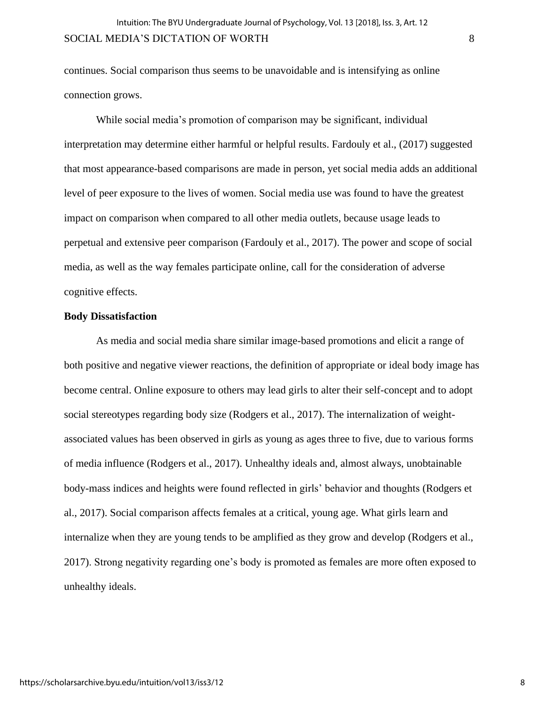continues. Social comparison thus seems to be unavoidable and is intensifying as online connection grows.

While social media's promotion of comparison may be significant, individual interpretation may determine either harmful or helpful results. Fardouly et al., (2017) suggested that most appearance-based comparisons are made in person, yet social media adds an additional level of peer exposure to the lives of women. Social media use was found to have the greatest impact on comparison when compared to all other media outlets, because usage leads to perpetual and extensive peer comparison (Fardouly et al., 2017). The power and scope of social media, as well as the way females participate online, call for the consideration of adverse cognitive effects.

## **Body Dissatisfaction**

As media and social media share similar image-based promotions and elicit a range of both positive and negative viewer reactions, the definition of appropriate or ideal body image has become central. Online exposure to others may lead girls to alter their self-concept and to adopt social stereotypes regarding body size (Rodgers et al., 2017). The internalization of weightassociated values has been observed in girls as young as ages three to five, due to various forms of media influence (Rodgers et al., 2017). Unhealthy ideals and, almost always, unobtainable body-mass indices and heights were found reflected in girls' behavior and thoughts (Rodgers et al., 2017). Social comparison affects females at a critical, young age. What girls learn and internalize when they are young tends to be amplified as they grow and develop (Rodgers et al., 2017). Strong negativity regarding one's body is promoted as females are more often exposed to unhealthy ideals.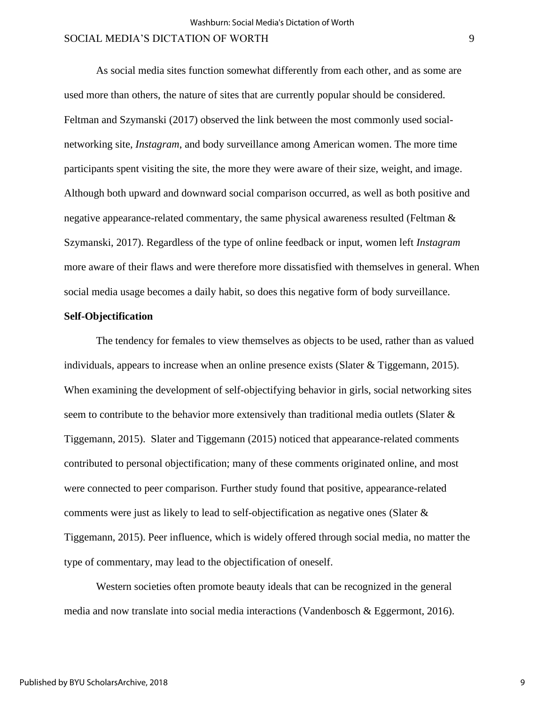As social media sites function somewhat differently from each other, and as some are used more than others, the nature of sites that are currently popular should be considered. Feltman and Szymanski (2017) observed the link between the most commonly used socialnetworking site, *Instagram*, and body surveillance among American women. The more time participants spent visiting the site, the more they were aware of their size, weight, and image. Although both upward and downward social comparison occurred, as well as both positive and negative appearance-related commentary, the same physical awareness resulted (Feltman & Szymanski, 2017). Regardless of the type of online feedback or input, women left *Instagram* more aware of their flaws and were therefore more dissatisfied with themselves in general. When social media usage becomes a daily habit, so does this negative form of body surveillance.

#### **Self-Objectification**

The tendency for females to view themselves as objects to be used, rather than as valued individuals, appears to increase when an online presence exists (Slater & Tiggemann, 2015). When examining the development of self-objectifying behavior in girls, social networking sites seem to contribute to the behavior more extensively than traditional media outlets (Slater & Tiggemann, 2015). Slater and Tiggemann (2015) noticed that appearance-related comments contributed to personal objectification; many of these comments originated online, and most were connected to peer comparison. Further study found that positive, appearance-related comments were just as likely to lead to self-objectification as negative ones (Slater & Tiggemann, 2015). Peer influence, which is widely offered through social media, no matter the type of commentary, may lead to the objectification of oneself.

Western societies often promote beauty ideals that can be recognized in the general media and now translate into social media interactions (Vandenbosch & Eggermont, 2016).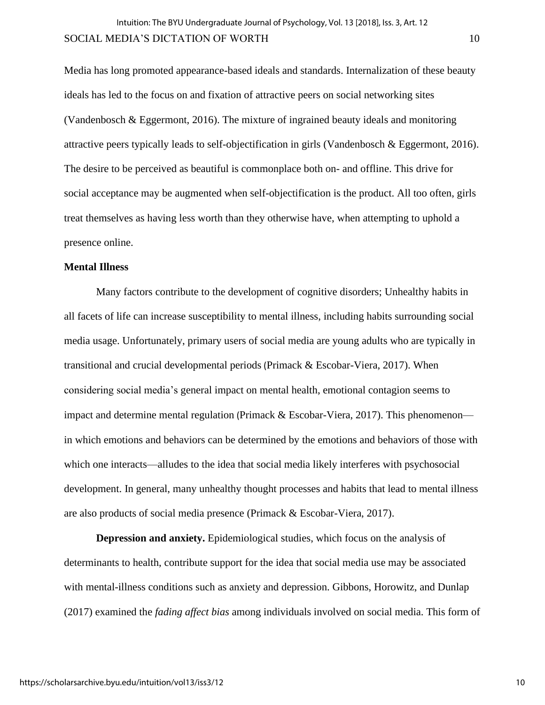Media has long promoted appearance-based ideals and standards. Internalization of these beauty ideals has led to the focus on and fixation of attractive peers on social networking sites (Vandenbosch & Eggermont, 2016). The mixture of ingrained beauty ideals and monitoring attractive peers typically leads to self-objectification in girls (Vandenbosch & Eggermont, 2016). The desire to be perceived as beautiful is commonplace both on- and offline. This drive for social acceptance may be augmented when self-objectification is the product. All too often, girls treat themselves as having less worth than they otherwise have, when attempting to uphold a presence online.

#### **Mental Illness**

Many factors contribute to the development of cognitive disorders; Unhealthy habits in all facets of life can increase susceptibility to mental illness, including habits surrounding social media usage. Unfortunately, primary users of social media are young adults who are typically in transitional and crucial developmental periods (Primack & Escobar-Viera, 2017). When considering social media's general impact on mental health, emotional contagion seems to impact and determine mental regulation (Primack  $& Escobar-Viera, 2017$ ). This phenomenon in which emotions and behaviors can be determined by the emotions and behaviors of those with which one interacts—alludes to the idea that social media likely interferes with psychosocial development. In general, many unhealthy thought processes and habits that lead to mental illness are also products of social media presence (Primack & Escobar-Viera, 2017).

**Depression and anxiety.** Epidemiological studies, which focus on the analysis of determinants to health, contribute support for the idea that social media use may be associated with mental-illness conditions such as anxiety and depression. Gibbons, Horowitz, and Dunlap (2017) examined the *fading affect bias* among individuals involved on social media. This form of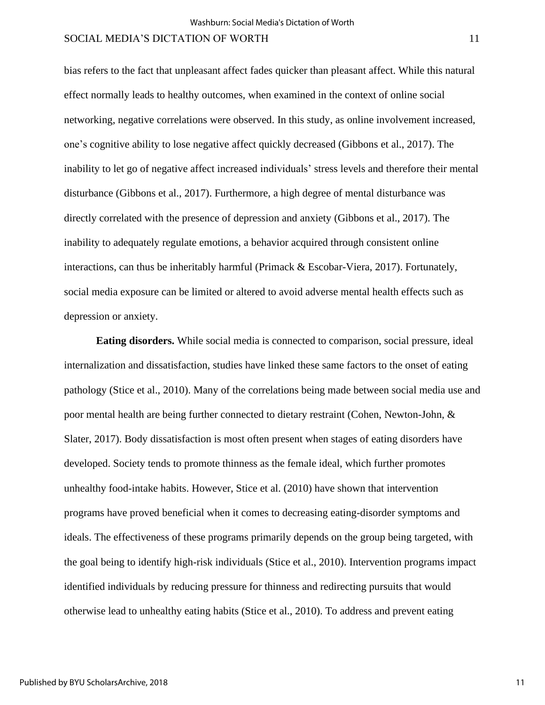bias refers to the fact that unpleasant affect fades quicker than pleasant affect. While this natural effect normally leads to healthy outcomes, when examined in the context of online social networking, negative correlations were observed. In this study, as online involvement increased, one's cognitive ability to lose negative affect quickly decreased (Gibbons et al., 2017). The inability to let go of negative affect increased individuals' stress levels and therefore their mental disturbance (Gibbons et al., 2017). Furthermore, a high degree of mental disturbance was directly correlated with the presence of depression and anxiety (Gibbons et al., 2017). The inability to adequately regulate emotions, a behavior acquired through consistent online interactions, can thus be inheritably harmful (Primack & Escobar-Viera, 2017). Fortunately, social media exposure can be limited or altered to avoid adverse mental health effects such as depression or anxiety.

**Eating disorders.** While social media is connected to comparison, social pressure, ideal internalization and dissatisfaction, studies have linked these same factors to the onset of eating pathology (Stice et al., 2010). Many of the correlations being made between social media use and poor mental health are being further connected to dietary restraint (Cohen, Newton-John, & Slater, 2017). Body dissatisfaction is most often present when stages of eating disorders have developed. Society tends to promote thinness as the female ideal, which further promotes unhealthy food-intake habits. However, Stice et al. (2010) have shown that intervention programs have proved beneficial when it comes to decreasing eating-disorder symptoms and ideals. The effectiveness of these programs primarily depends on the group being targeted, with the goal being to identify high-risk individuals (Stice et al., 2010). Intervention programs impact identified individuals by reducing pressure for thinness and redirecting pursuits that would otherwise lead to unhealthy eating habits (Stice et al., 2010). To address and prevent eating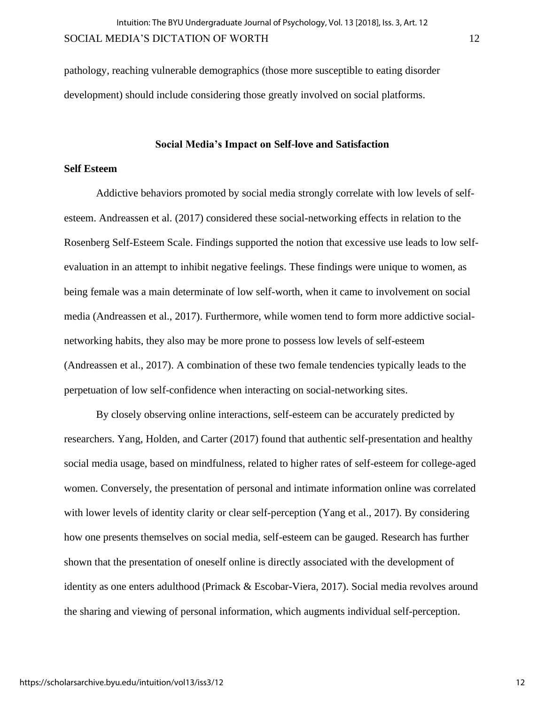pathology, reaching vulnerable demographics (those more susceptible to eating disorder development) should include considering those greatly involved on social platforms.

## **Social Media's Impact on Self-love and Satisfaction**

## **Self Esteem**

Addictive behaviors promoted by social media strongly correlate with low levels of selfesteem. Andreassen et al. (2017) considered these social-networking effects in relation to the Rosenberg Self-Esteem Scale. Findings supported the notion that excessive use leads to low selfevaluation in an attempt to inhibit negative feelings. These findings were unique to women, as being female was a main determinate of low self-worth, when it came to involvement on social media (Andreassen et al., 2017). Furthermore, while women tend to form more addictive socialnetworking habits, they also may be more prone to possess low levels of self-esteem (Andreassen et al., 2017). A combination of these two female tendencies typically leads to the perpetuation of low self-confidence when interacting on social-networking sites.

By closely observing online interactions, self-esteem can be accurately predicted by researchers. Yang, Holden, and Carter (2017) found that authentic self-presentation and healthy social media usage, based on mindfulness, related to higher rates of self-esteem for college-aged women. Conversely, the presentation of personal and intimate information online was correlated with lower levels of identity clarity or clear self-perception (Yang et al., 2017). By considering how one presents themselves on social media, self-esteem can be gauged. Research has further shown that the presentation of oneself online is directly associated with the development of identity as one enters adulthood (Primack & Escobar-Viera, 2017). Social media revolves around the sharing and viewing of personal information, which augments individual self-perception.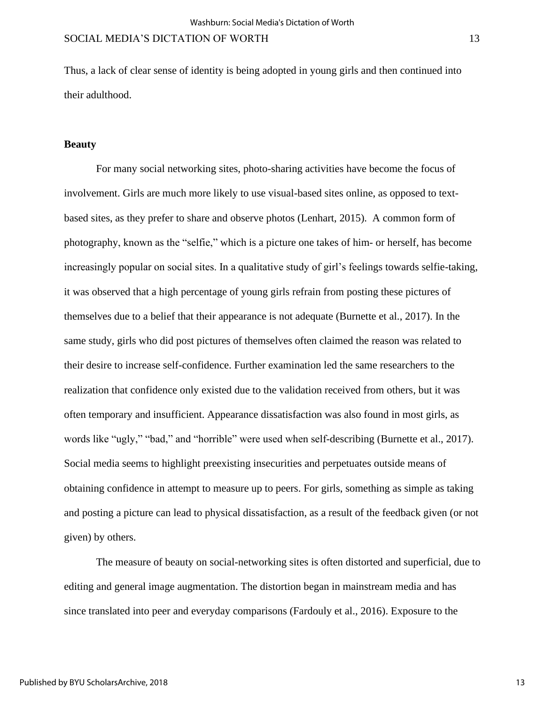Thus, a lack of clear sense of identity is being adopted in young girls and then continued into their adulthood.

## **Beauty**

For many social networking sites, photo-sharing activities have become the focus of involvement. Girls are much more likely to use visual-based sites online, as opposed to textbased sites, as they prefer to share and observe photos (Lenhart, 2015). A common form of photography, known as the "selfie," which is a picture one takes of him- or herself, has become increasingly popular on social sites. In a qualitative study of girl's feelings towards selfie-taking, it was observed that a high percentage of young girls refrain from posting these pictures of themselves due to a belief that their appearance is not adequate (Burnette et al., 2017). In the same study, girls who did post pictures of themselves often claimed the reason was related to their desire to increase self-confidence. Further examination led the same researchers to the realization that confidence only existed due to the validation received from others, but it was often temporary and insufficient. Appearance dissatisfaction was also found in most girls, as words like "ugly," "bad," and "horrible" were used when self-describing (Burnette et al., 2017). Social media seems to highlight preexisting insecurities and perpetuates outside means of obtaining confidence in attempt to measure up to peers. For girls, something as simple as taking and posting a picture can lead to physical dissatisfaction, as a result of the feedback given (or not given) by others.

The measure of beauty on social-networking sites is often distorted and superficial, due to editing and general image augmentation. The distortion began in mainstream media and has since translated into peer and everyday comparisons (Fardouly et al., 2016). Exposure to the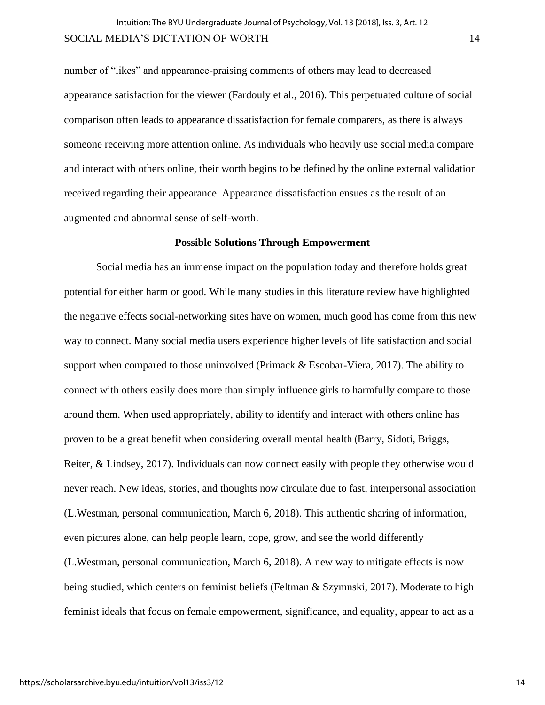number of "likes" and appearance-praising comments of others may lead to decreased appearance satisfaction for the viewer (Fardouly et al., 2016). This perpetuated culture of social comparison often leads to appearance dissatisfaction for female comparers, as there is always someone receiving more attention online. As individuals who heavily use social media compare and interact with others online, their worth begins to be defined by the online external validation received regarding their appearance. Appearance dissatisfaction ensues as the result of an augmented and abnormal sense of self-worth.

## **Possible Solutions Through Empowerment**

Social media has an immense impact on the population today and therefore holds great potential for either harm or good. While many studies in this literature review have highlighted the negative effects social-networking sites have on women, much good has come from this new way to connect. Many social media users experience higher levels of life satisfaction and social support when compared to those uninvolved (Primack & Escobar-Viera, 2017). The ability to connect with others easily does more than simply influence girls to harmfully compare to those around them. When used appropriately, ability to identify and interact with others online has proven to be a great benefit when considering overall mental health (Barry, Sidoti, Briggs, Reiter, & Lindsey, 2017). Individuals can now connect easily with people they otherwise would never reach. New ideas, stories, and thoughts now circulate due to fast, interpersonal association (L.Westman, personal communication, March 6, 2018). This authentic sharing of information, even pictures alone, can help people learn, cope, grow, and see the world differently (L.Westman, personal communication, March 6, 2018). A new way to mitigate effects is now being studied, which centers on feminist beliefs (Feltman & Szymnski, 2017). Moderate to high feminist ideals that focus on female empowerment, significance, and equality, appear to act as a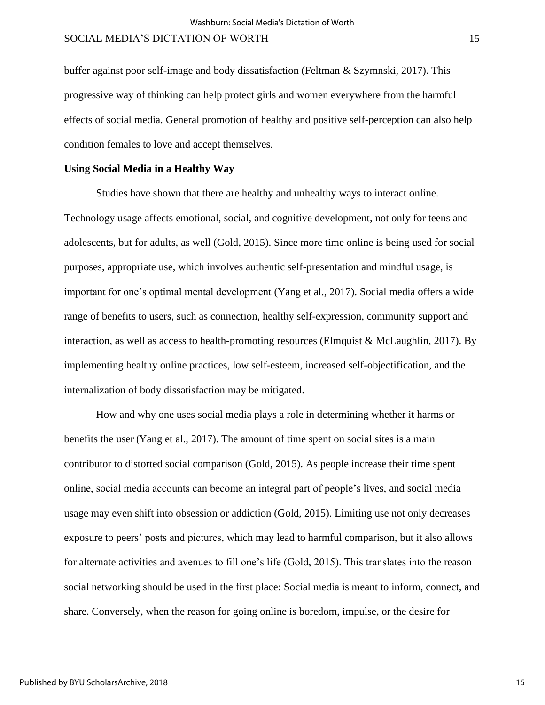buffer against poor self-image and body dissatisfaction (Feltman & Szymnski, 2017). This progressive way of thinking can help protect girls and women everywhere from the harmful effects of social media. General promotion of healthy and positive self-perception can also help condition females to love and accept themselves.

## **Using Social Media in a Healthy Way**

Studies have shown that there are healthy and unhealthy ways to interact online. Technology usage affects emotional, social, and cognitive development, not only for teens and adolescents, but for adults, as well (Gold, 2015). Since more time online is being used for social purposes, appropriate use, which involves authentic self-presentation and mindful usage, is important for one's optimal mental development (Yang et al., 2017). Social media offers a wide range of benefits to users, such as connection, healthy self-expression, community support and interaction, as well as access to health-promoting resources (Elmquist & McLaughlin, 2017). By implementing healthy online practices, low self-esteem, increased self-objectification, and the internalization of body dissatisfaction may be mitigated.

How and why one uses social media plays a role in determining whether it harms or benefits the user (Yang et al., 2017). The amount of time spent on social sites is a main contributor to distorted social comparison (Gold, 2015). As people increase their time spent online, social media accounts can become an integral part of people's lives, and social media usage may even shift into obsession or addiction (Gold, 2015). Limiting use not only decreases exposure to peers' posts and pictures, which may lead to harmful comparison, but it also allows for alternate activities and avenues to fill one's life (Gold, 2015). This translates into the reason social networking should be used in the first place: Social media is meant to inform, connect, and share. Conversely, when the reason for going online is boredom, impulse, or the desire for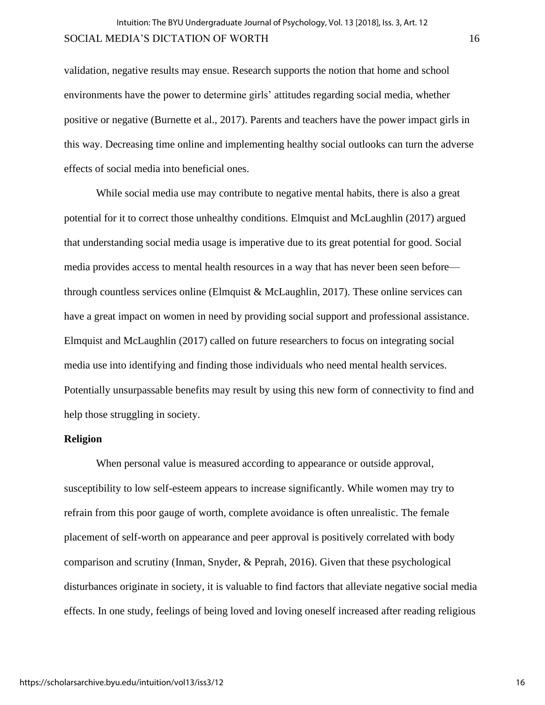validation, negative results may ensue. Research supports the notion that home and school environments have the power to determine girls' attitudes regarding social media, whether positive or negative (Burnette et al., 2017). Parents and teachers have the power impact girls in this way. Decreasing time online and implementing healthy social outlooks can turn the adverse effects of social media into beneficial ones.

While social media use may contribute to negative mental habits, there is also a great potential for it to correct those unhealthy conditions. Elmquist and McLaughlin (2017) argued that understanding social media usage is imperative due to its great potential for good. Social media provides access to mental health resources in a way that has never been seen before through countless services online (Elmquist & McLaughlin, 2017). These online services can have a great impact on women in need by providing social support and professional assistance. Elmquist and McLaughlin (2017) called on future researchers to focus on integrating social media use into identifying and finding those individuals who need mental health services. Potentially unsurpassable benefits may result by using this new form of connectivity to find and help those struggling in society.

## **Religion**

When personal value is measured according to appearance or outside approval, susceptibility to low self-esteem appears to increase significantly. While women may try to refrain from this poor gauge of worth, complete avoidance is often unrealistic. The female placement of self-worth on appearance and peer approval is positively correlated with body comparison and scrutiny (Inman, Snyder, & Peprah, 2016). Given that these psychological disturbances originate in society, it is valuable to find factors that alleviate negative social media effects. In one study, feelings of being loved and loving oneself increased after reading religious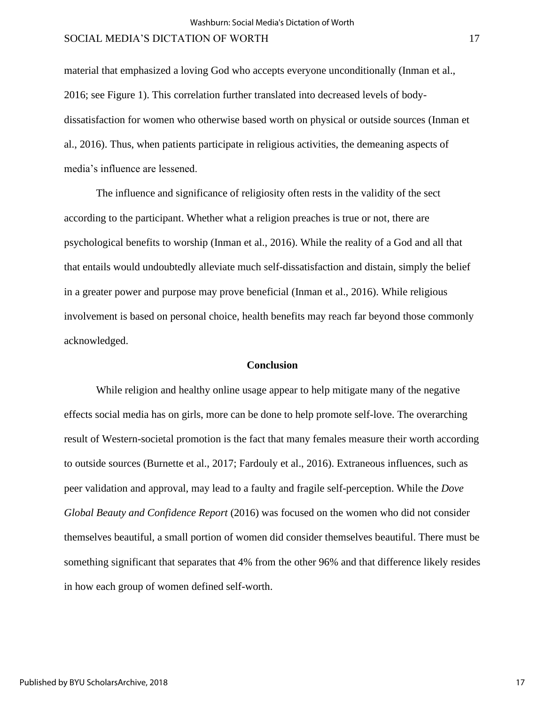material that emphasized a loving God who accepts everyone unconditionally (Inman et al., 2016; see Figure 1). This correlation further translated into decreased levels of bodydissatisfaction for women who otherwise based worth on physical or outside sources (Inman et al., 2016). Thus, when patients participate in religious activities, the demeaning aspects of media's influence are lessened.

The influence and significance of religiosity often rests in the validity of the sect according to the participant. Whether what a religion preaches is true or not, there are psychological benefits to worship (Inman et al., 2016). While the reality of a God and all that that entails would undoubtedly alleviate much self-dissatisfaction and distain, simply the belief in a greater power and purpose may prove beneficial (Inman et al., 2016). While religious involvement is based on personal choice, health benefits may reach far beyond those commonly acknowledged.

#### **Conclusion**

While religion and healthy online usage appear to help mitigate many of the negative effects social media has on girls, more can be done to help promote self-love. The overarching result of Western-societal promotion is the fact that many females measure their worth according to outside sources (Burnette et al., 2017; Fardouly et al., 2016). Extraneous influences, such as peer validation and approval, may lead to a faulty and fragile self-perception. While the *Dove Global Beauty and Confidence Report* (2016) was focused on the women who did not consider themselves beautiful, a small portion of women did consider themselves beautiful. There must be something significant that separates that 4% from the other 96% and that difference likely resides in how each group of women defined self-worth.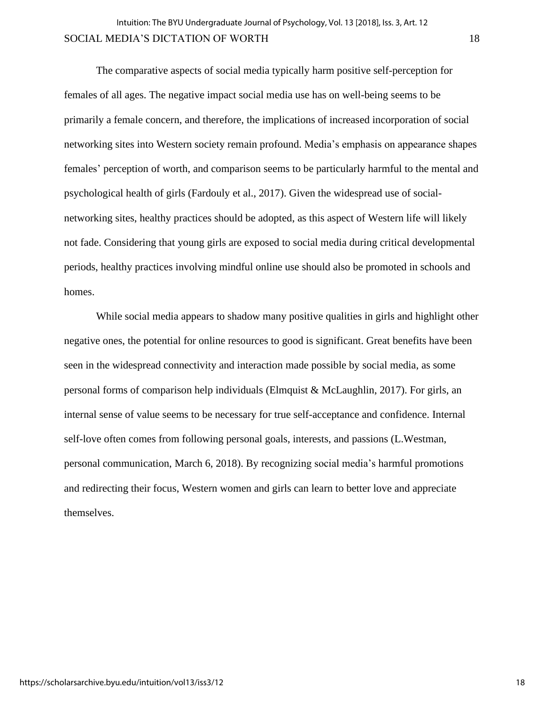The comparative aspects of social media typically harm positive self-perception for females of all ages. The negative impact social media use has on well-being seems to be primarily a female concern, and therefore, the implications of increased incorporation of social networking sites into Western society remain profound. Media's emphasis on appearance shapes females' perception of worth, and comparison seems to be particularly harmful to the mental and psychological health of girls (Fardouly et al., 2017). Given the widespread use of socialnetworking sites, healthy practices should be adopted, as this aspect of Western life will likely not fade. Considering that young girls are exposed to social media during critical developmental periods, healthy practices involving mindful online use should also be promoted in schools and homes.

While social media appears to shadow many positive qualities in girls and highlight other negative ones, the potential for online resources to good is significant. Great benefits have been seen in the widespread connectivity and interaction made possible by social media, as some personal forms of comparison help individuals (Elmquist & McLaughlin, 2017). For girls, an internal sense of value seems to be necessary for true self-acceptance and confidence. Internal self-love often comes from following personal goals, interests, and passions (L.Westman, personal communication, March 6, 2018). By recognizing social media's harmful promotions and redirecting their focus, Western women and girls can learn to better love and appreciate themselves.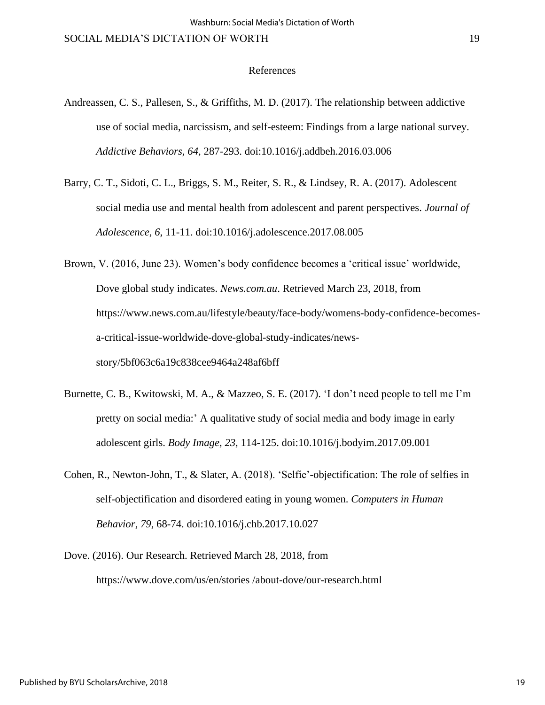#### References

- Andreassen, C. S., Pallesen, S., & Griffiths, M. D. (2017). The relationship between addictive use of social media, narcissism, and self-esteem: Findings from a large national survey. *Addictive Behaviors, 64*, 287-293. doi:10.1016/j.addbeh.2016.03.006
- Barry, C. T., Sidoti, C. L., Briggs, S. M., Reiter, S. R., & Lindsey, R. A. (2017). Adolescent social media use and mental health from adolescent and parent perspectives. *Journal of Adolescence*, *6*, 11-11. doi:10.1016/j.adolescence.2017.08.005
- Brown, V. (2016, June 23). Women's body confidence becomes a 'critical issue' worldwide, Dove global study indicates. *News.com.au*. Retrieved March 23, 2018, from https://www.news.com.au/lifestyle/beauty/face-body/womens-body-confidence-becomesa-critical-issue-worldwide-dove-global-study-indicates/newsstory/5bf063c6a19c838cee9464a248af6bff
- Burnette, C. B., Kwitowski, M. A., & Mazzeo, S. E. (2017). 'I don't need people to tell me I'm pretty on social media:' A qualitative study of social media and body image in early adolescent girls. *Body Image*, *23*, 114-125. doi:10.1016/j.bodyim.2017.09.001
- Cohen, R., Newton-John, T., & Slater, A. (2018). 'Selfie'-objectification: The role of selfies in self-objectification and disordered eating in young women. *Computers in Human Behavior*, *79*, 68-74. doi:10.1016/j.chb.2017.10.027
- Dove. (2016). Our Research. Retrieved March 28, 2018, from https://www.dove.com/us/en/stories /about-dove/our-research.html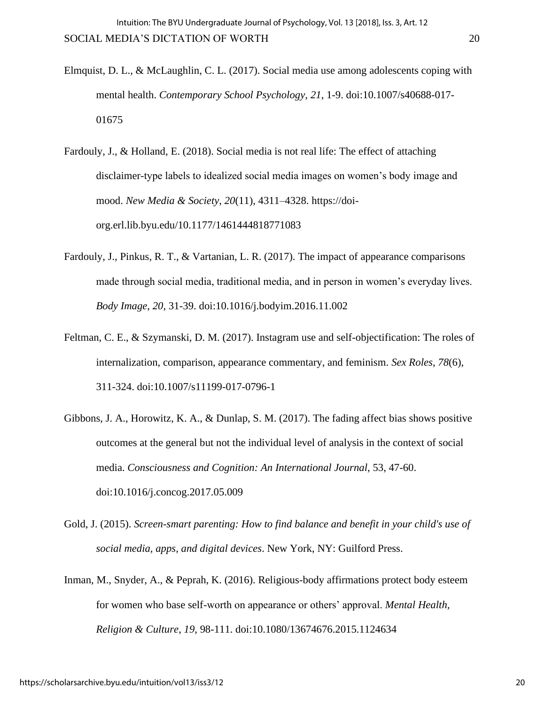- Elmquist, D. L., & McLaughlin, C. L. (2017). Social media use among adolescents coping with mental health. *Contemporary School Psychology, 21*, 1-9. doi:10.1007/s40688-017- 01675
- Fardouly, J., & Holland, E. (2018). Social media is not real life: The effect of attaching disclaimer-type labels to idealized social media images on women's body image and mood. *New Media & Society*, *20*(11), 4311–4328. https://doiorg.erl.lib.byu.edu/10.1177/1461444818771083
- Fardouly, J., Pinkus, R. T., & Vartanian, L. R. (2017). The impact of appearance comparisons made through social media, traditional media, and in person in women's everyday lives. *Body Image*, *20*, 31-39. doi:10.1016/j.bodyim.2016.11.002
- Feltman, C. E., & Szymanski, D. M. (2017). Instagram use and self-objectification: The roles of internalization, comparison, appearance commentary, and feminism. *Sex Roles*, *78*(6), 311-324. doi:10.1007/s11199-017-0796-1
- Gibbons, J. A., Horowitz, K. A., & Dunlap, S. M. (2017). The fading affect bias shows positive outcomes at the general but not the individual level of analysis in the context of social media. *Consciousness and Cognition: An International Journal*, 53, 47-60. doi:10.1016/j.concog.2017.05.009
- Gold, J. (2015). *Screen-smart parenting: How to find balance and benefit in your child's use of social media, apps, and digital devices*. New York, NY: Guilford Press.
- Inman, M., Snyder, A., & Peprah, K. (2016). Religious-body affirmations protect body esteem for women who base self-worth on appearance or others' approval. *Mental Health, Religion & Culture*, *19*, 98-111. doi:10.1080/13674676.2015.1124634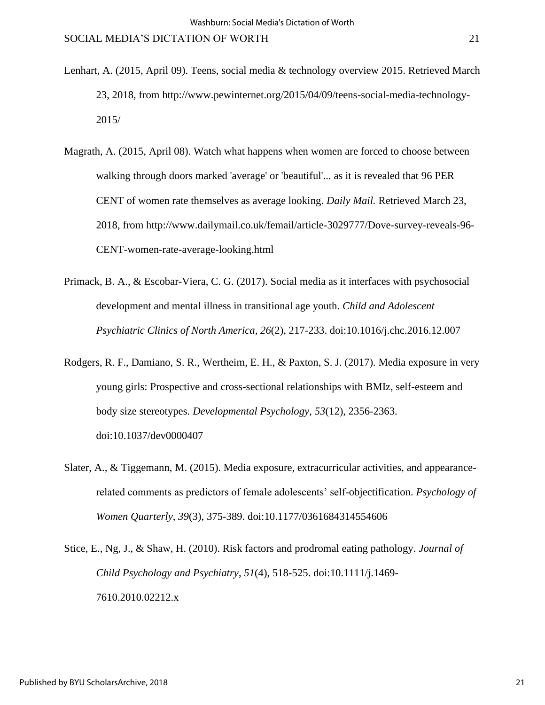- Lenhart, A. (2015, April 09). Teens, social media & technology overview 2015. Retrieved March 23, 2018, from http://www.pewinternet.org/2015/04/09/teens-social-media-technology-2015/
- Magrath, A. (2015, April 08). Watch what happens when women are forced to choose between walking through doors marked 'average' or 'beautiful'... as it is revealed that 96 PER CENT of women rate themselves as average looking. *Daily Mail.* Retrieved March 23, 2018, from http://www.dailymail.co.uk/femail/article-3029777/Dove-survey-reveals-96- CENT-women-rate-average-looking.html
- Primack, B. A., & Escobar-Viera, C. G. (2017). Social media as it interfaces with psychosocial development and mental illness in transitional age youth. *Child and Adolescent Psychiatric Clinics of North America, 26*(2), 217-233. doi:10.1016/j.chc.2016.12.007
- Rodgers, R. F., Damiano, S. R., Wertheim, E. H., & Paxton, S. J. (2017). Media exposure in very young girls: Prospective and cross-sectional relationships with BMIz, self-esteem and body size stereotypes. *Developmental Psychology, 53*(12), 2356-2363. doi:10.1037/dev0000407
- Slater, A., & Tiggemann, M. (2015). Media exposure, extracurricular activities, and appearancerelated comments as predictors of female adolescents' self-objectification. *Psychology of Women Quarterly*, *39*(3), 375-389. doi:10.1177/0361684314554606
- Stice, E., Ng, J., & Shaw, H. (2010). Risk factors and prodromal eating pathology. *Journal of Child Psychology and Psychiatry*, *51*(4), 518-525. doi:10.1111/j.1469- 7610.2010.02212.x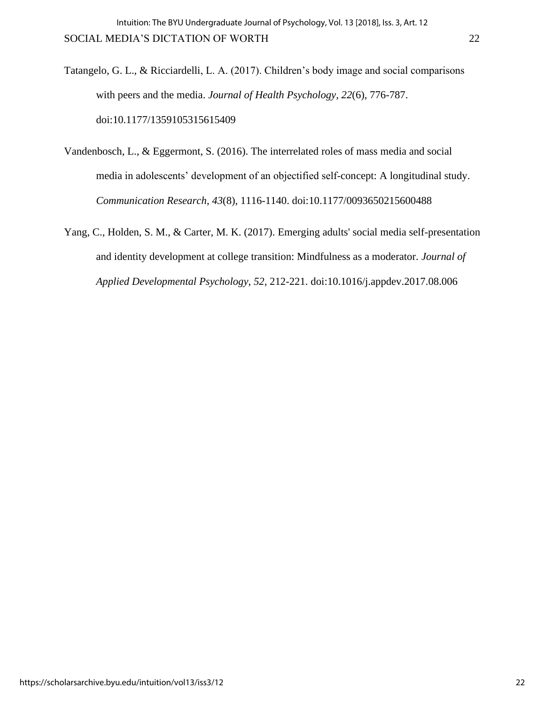- Tatangelo, G. L., & Ricciardelli, L. A. (2017). Children's body image and social comparisons with peers and the media. *Journal of Health Psychology, 22*(6), 776-787. doi:10.1177/1359105315615409
- Vandenbosch, L., & Eggermont, S. (2016). The interrelated roles of mass media and social media in adolescents' development of an objectified self-concept: A longitudinal study. *Communication Research*, *43*(8), 1116-1140. doi:10.1177/0093650215600488
- Yang, C., Holden, S. M., & Carter, M. K. (2017). Emerging adults' social media self-presentation and identity development at college transition: Mindfulness as a moderator. *Journal of Applied Developmental Psychology*, *52*, 212-221. doi:10.1016/j.appdev.2017.08.006